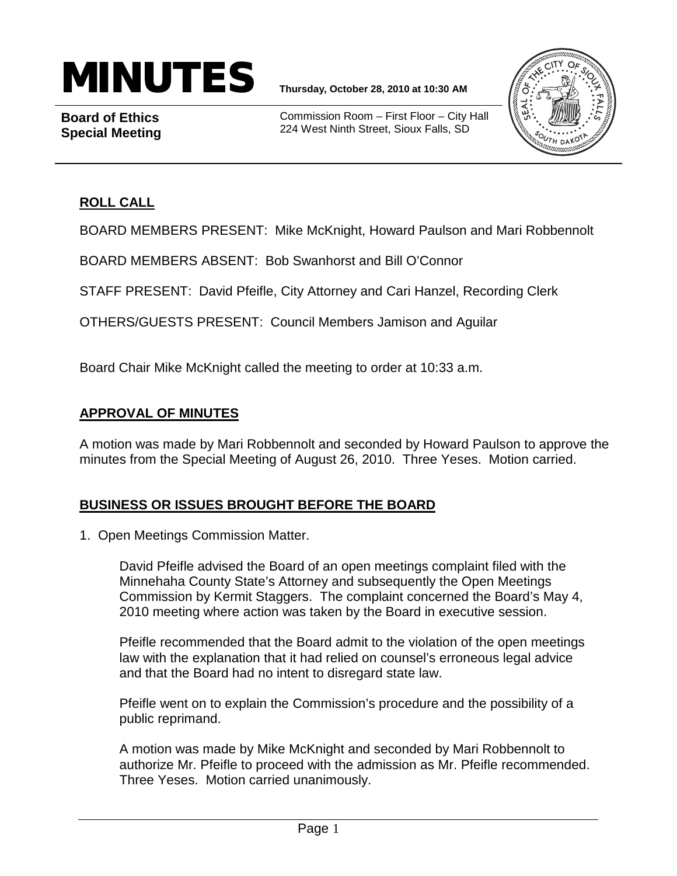# MINUTES **Thursday, October 28, 2010 at 10:30 AM**

**Board of Ethics Special Meeting**

Commission Room – First Floor – City Hall 224 West Ninth Street, Sioux Falls, SD



## **ROLL CALL**

BOARD MEMBERS PRESENT: Mike McKnight, Howard Paulson and Mari Robbennolt

BOARD MEMBERS ABSENT: Bob Swanhorst and Bill O'Connor

STAFF PRESENT: David Pfeifle, City Attorney and Cari Hanzel, Recording Clerk

OTHERS/GUESTS PRESENT: Council Members Jamison and Aguilar

Board Chair Mike McKnight called the meeting to order at 10:33 a.m.

#### **APPROVAL OF MINUTES**

A motion was made by Mari Robbennolt and seconded by Howard Paulson to approve the minutes from the Special Meeting of August 26, 2010. Three Yeses. Motion carried.

## **BUSINESS OR ISSUES BROUGHT BEFORE THE BOARD**

1. Open Meetings Commission Matter.

David Pfeifle advised the Board of an open meetings complaint filed with the Minnehaha County State's Attorney and subsequently the Open Meetings Commission by Kermit Staggers. The complaint concerned the Board's May 4, 2010 meeting where action was taken by the Board in executive session.

Pfeifle recommended that the Board admit to the violation of the open meetings law with the explanation that it had relied on counsel's erroneous legal advice and that the Board had no intent to disregard state law.

Pfeifle went on to explain the Commission's procedure and the possibility of a public reprimand.

A motion was made by Mike McKnight and seconded by Mari Robbennolt to authorize Mr. Pfeifle to proceed with the admission as Mr. Pfeifle recommended. Three Yeses. Motion carried unanimously.